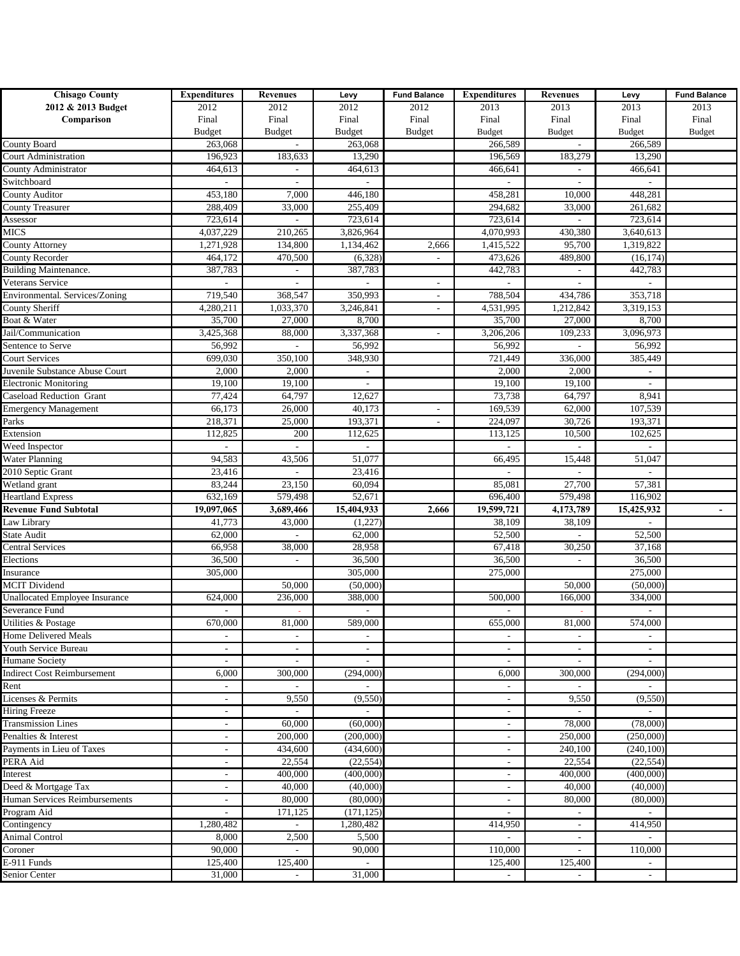| <b>Chisago County</b>                 | <b>Expenditures</b>      | <b>Revenues</b>          | Levy                     | <b>Fund Balance</b>      | <b>Expenditures</b>      | <b>Revenues</b>          | Levy                     | <b>Fund Balance</b>      |
|---------------------------------------|--------------------------|--------------------------|--------------------------|--------------------------|--------------------------|--------------------------|--------------------------|--------------------------|
| 2012 & 2013 Budget                    | 2012                     | 2012                     | 2012                     | 2012                     | 2013                     | 2013                     | 2013                     | 2013                     |
| Comparison                            | Final                    | Final                    | Final                    | Final                    | Final                    | Final                    | Final                    | Final                    |
|                                       | <b>Budget</b>            | <b>Budget</b>            | <b>Budget</b>            | <b>Budget</b>            | <b>Budget</b>            | <b>Budget</b>            | <b>Budget</b>            | <b>Budget</b>            |
| County Board                          | 263,068                  |                          | 263,068                  |                          | 266,589                  |                          | 266,589                  |                          |
| <b>Court Administration</b>           | 196,923                  | 183,633                  | 13,290                   |                          | 196,569                  | 183,279                  | 13,290                   |                          |
| County Administrator                  | 464,613                  | $\overline{\phantom{a}}$ | 464,613                  |                          | 466,641                  | $\overline{\phantom{a}}$ | 466,641                  |                          |
| Switchboard                           |                          |                          |                          |                          |                          |                          |                          |                          |
| <b>County Auditor</b>                 | 453,180                  | 7,000                    | 446,180                  |                          | 458,281                  | 10,000                   | 448,281                  |                          |
| <b>County Treasurer</b>               | 288,409                  | 33,000                   | 255,409                  |                          | 294,682                  | 33,000                   | 261,682                  |                          |
| Assessor                              | 723,614                  |                          | 723,614                  |                          | 723,614                  |                          | 723,614                  |                          |
| <b>MICS</b>                           | 4,037,229                | 210,265                  | 3,826,964                |                          | 4,070,993                | 430,380                  | 3,640,613                |                          |
| County Attorney                       | 1,271,928                | 134,800                  | 1,134,462                | 2,666                    | 1,415,522                | 95,700                   | 1,319,822                |                          |
| <b>County Recorder</b>                | 464,172                  | 470,500                  | (6,328)                  | $\overline{\phantom{a}}$ | 473,626                  | 489,800                  | (16, 174)                |                          |
| <b>Building Maintenance.</b>          | 387,783                  | $\overline{\phantom{a}}$ | 387,783                  |                          | 442,783                  | $\overline{\phantom{a}}$ | 442,783                  |                          |
| Veterans Service                      |                          | $\overline{\phantom{a}}$ |                          | $\overline{\phantom{a}}$ |                          | $\sim$                   |                          |                          |
| Environmental. Services/Zoning        | 719,540                  | 368,547                  | 350,993                  | $\overline{\phantom{a}}$ | 788,504                  | 434,786                  | 353,718                  |                          |
| <b>County Sheriff</b>                 | 4,280,211                | 1,033,370                | 3,246,841                | $\overline{\phantom{a}}$ | 4,531,995                | 1,212,842                | 3,319,153                |                          |
| Boat & Water                          | 35,700                   | 27,000                   | 8,700                    |                          | 35,700                   | 27,000                   | 8,700                    |                          |
| Jail/Communication                    | 3,425,368                | 88,000                   | 3,337,368                | $\overline{\phantom{a}}$ | 3,206,206                | 109,233                  | 3,096,973                |                          |
| Sentence to Serve                     | 56,992                   |                          | 56,992                   |                          | 56,992                   |                          | 56,992                   |                          |
| <b>Court Services</b>                 | 699,030                  | 350,100                  | 348,930                  |                          | 721,449                  | 336,000                  | 385,449                  |                          |
| Juvenile Substance Abuse Court        | 2,000                    | 2,000                    |                          |                          | 2,000                    | 2,000                    |                          |                          |
| <b>Electronic Monitoring</b>          | 19,100                   | 19,100                   |                          |                          | 19,100                   | 19,100                   |                          |                          |
| <b>Caseload Reduction Grant</b>       | 77,424                   | 64,797                   | 12,627                   |                          | 73,738                   | 64,797                   | 8,941                    |                          |
| <b>Emergency Management</b>           | 66,173                   | 26,000                   | 40,173                   | $\overline{\phantom{a}}$ | 169,539                  | 62,000                   | 107,539                  |                          |
| Parks                                 | 218,371                  | 25,000                   | 193,371                  |                          | 224,097                  | 30,726                   | 193,371                  |                          |
| Extension                             | 112,825                  | 200                      | 112,625                  |                          | 113,125                  | 10,500                   | 102,625                  |                          |
| Weed Inspector                        |                          |                          |                          |                          |                          |                          |                          |                          |
| <b>Water Planning</b>                 | 94,583                   | 43,506                   | 51,077                   |                          | 66,495                   | 15,448                   | 51,047                   |                          |
| 2010 Septic Grant                     | 23,416                   |                          | 23,416                   |                          |                          |                          |                          |                          |
| Wetland grant                         | 83,244                   | 23,150                   | 60,094                   |                          | 85,081                   | 27,700                   | 57,381                   |                          |
| <b>Heartland Express</b>              | 632,169                  | 579,498                  | 52,671                   |                          | 696,400                  | 579,498                  | 116,902                  |                          |
| <b>Revenue Fund Subtotal</b>          | 19,097,065               | 3,689,466                | 15,404,933               | 2,666                    | 19,599,721               | 4,173,789                | 15,425,932               | $\overline{\phantom{a}}$ |
| Law Library                           | 41,773                   | 43,000                   | (1,227)                  |                          | 38,109                   | 38,109                   |                          |                          |
| State Audit                           | 62,000                   |                          | 62,000                   |                          | 52,500                   |                          | 52,500                   |                          |
| Central Services                      | 66,958                   | 38,000                   | 28,958                   |                          | 67,418                   | 30,250                   | 37,168                   |                          |
| Elections                             | 36,500                   |                          | 36,500                   |                          | 36,500                   |                          | 36,500                   |                          |
| Insurance                             | 305,000                  |                          | 305,000                  |                          | 275,000                  |                          | 275,000                  |                          |
| <b>MCIT Dividend</b>                  |                          | 50,000                   | (50,000)                 |                          |                          | 50,000                   | (50,000)                 |                          |
| <b>Unallocated Employee Insurance</b> | 624,000                  | 236,000                  | 388,000                  |                          | 500,000                  | 166,000                  | 334,000                  |                          |
| Severance Fund                        |                          |                          |                          |                          |                          |                          |                          |                          |
| Utilities & Postage                   | 670,000                  | 81,000                   | 589,000                  |                          | 655,000                  | 81,000                   | 574,000                  |                          |
| <b>Home Delivered Meals</b>           | $\overline{\phantom{a}}$ | $\overline{\phantom{a}}$ | $\overline{\phantom{a}}$ |                          | $\overline{\phantom{a}}$ | $\overline{\phantom{a}}$ | $\overline{\phantom{a}}$ |                          |
| Youth Service Bureau                  | $\overline{\phantom{a}}$ | $\sim$                   | $\overline{\phantom{a}}$ |                          | $\overline{\phantom{a}}$ | $\sim$                   | $\sim$                   |                          |
| Humane Society                        | $\overline{\phantom{a}}$ | $\overline{\phantom{a}}$ |                          |                          | $\overline{\phantom{a}}$ | $\sim$                   |                          |                          |
| <b>Indirect Cost Reimbursement</b>    | 6,000                    | 300,000                  | (294,000)                |                          | 6,000                    | 300,000                  | (294,000)                |                          |
| Rent                                  | $\overline{\phantom{a}}$ |                          |                          |                          |                          |                          |                          |                          |
| Licenses & Permits                    | $\overline{\phantom{a}}$ | 9,550                    | (9, 550)                 |                          | $\overline{\phantom{a}}$ | 9,550                    | (9, 550)                 |                          |
| <b>Hiring Freeze</b>                  | $\overline{\phantom{a}}$ |                          |                          |                          | $\overline{\phantom{a}}$ |                          |                          |                          |
| <b>Transmission Lines</b>             | $\overline{\phantom{a}}$ | 60,000                   | (60,000)                 |                          | $\overline{\phantom{a}}$ | 78,000                   | (78,000)                 |                          |
| Penalties & Interest                  | $\overline{\phantom{a}}$ | 200,000                  | (200,000)                |                          | $\overline{\phantom{a}}$ | 250,000                  | (250,000)                |                          |
| Payments in Lieu of Taxes             | $\overline{\phantom{a}}$ | 434,600                  | (434, 600)               |                          | $\overline{\phantom{a}}$ | 240,100                  | (240, 100)               |                          |
| PERA Aid                              | $\overline{\phantom{a}}$ | 22,554                   | (22, 554)                |                          | $\overline{a}$           | 22,554                   | (22, 554)                |                          |
| Interest                              |                          | 400,000                  | (400,000)                |                          |                          | 400,000                  | (400,000)                |                          |
| Deed & Mortgage Tax                   | $\overline{\phantom{a}}$ | 40,000                   | (40,000)                 |                          | $\overline{\phantom{a}}$ | 40,000                   | (40,000)                 |                          |
| Human Services Reimbursements         | $\overline{\phantom{a}}$ | 80,000                   | (80,000)                 |                          | $\overline{\phantom{a}}$ | 80,000                   | (80,000)                 |                          |
| Program Aid                           | $\overline{\phantom{a}}$ | 171,125                  | (171, 125)               |                          | $\overline{\phantom{a}}$ |                          |                          |                          |
| Contingency                           | 1,280,482                |                          | 1,280,482                |                          | 414,950                  |                          | 414,950                  |                          |
| <b>Animal Control</b>                 | 8,000                    | 2,500                    | 5,500                    |                          |                          | $\frac{1}{2}$            |                          |                          |
| Coroner                               | 90,000                   |                          | 90,000                   |                          | 110,000                  | $\overline{\phantom{0}}$ | 110,000                  |                          |
| E-911 Funds                           | 125,400                  | 125,400                  | $\overline{\phantom{a}}$ |                          | 125,400                  | 125,400                  | $\sim$                   |                          |
| Senior Center                         | 31,000                   |                          | 31,000                   |                          |                          |                          | $\overline{\phantom{a}}$ |                          |